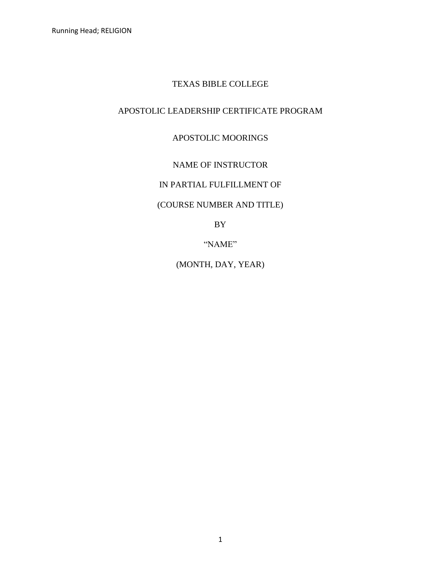# TEXAS BIBLE COLLEGE

# APOSTOLIC LEADERSHIP CERTIFICATE PROGRAM

## APOSTOLIC MOORINGS

# NAME OF INSTRUCTOR

## IN PARTIAL FULFILLMENT OF

## (COURSE NUMBER AND TITLE)

BY

"NAME"

(MONTH, DAY, YEAR)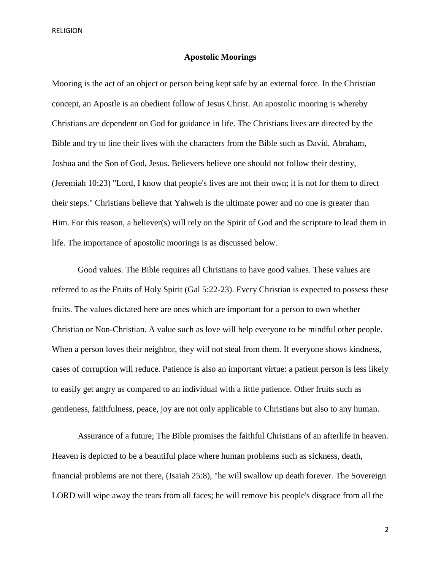RELIGION

#### **Apostolic Moorings**

Mooring is the act of an object or person being kept safe by an external force. In the Christian concept, an Apostle is an obedient follow of Jesus Christ. An apostolic mooring is whereby Christians are dependent on God for guidance in life. The Christians lives are directed by the Bible and try to line their lives with the characters from the Bible such as David, Abraham, Joshua and the Son of God, Jesus. Believers believe one should not follow their destiny, (Jeremiah 10:23) "Lord, I know that people's lives are not their own; it is not for them to direct their steps." Christians believe that Yahweh is the ultimate power and no one is greater than Him. For this reason, a believer(s) will rely on the Spirit of God and the scripture to lead them in life. The importance of apostolic moorings is as discussed below.

Good values. The Bible requires all Christians to have good values. These values are referred to as the Fruits of Holy Spirit (Gal 5:22-23). Every Christian is expected to possess these fruits. The values dictated here are ones which are important for a person to own whether Christian or Non-Christian. A value such as love will help everyone to be mindful other people. When a person loves their neighbor, they will not steal from them. If everyone shows kindness, cases of corruption will reduce. Patience is also an important virtue: a patient person is less likely to easily get angry as compared to an individual with a little patience. Other fruits such as gentleness, faithfulness, peace, joy are not only applicable to Christians but also to any human.

Assurance of a future; The Bible promises the faithful Christians of an afterlife in heaven. Heaven is depicted to be a beautiful place where human problems such as sickness, death, financial problems are not there, (Isaiah 25:8), "he will swallow up death forever. The Sovereign LORD will wipe away the tears from all faces; he will remove his people's disgrace from all the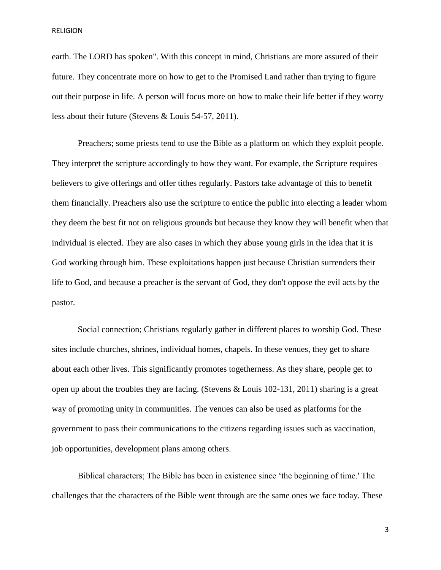RELIGION

earth. The LORD has spoken". With this concept in mind, Christians are more assured of their future. They concentrate more on how to get to the Promised Land rather than trying to figure out their purpose in life. A person will focus more on how to make their life better if they worry less about their future (Stevens & Louis 54-57, 2011).

Preachers; some priests tend to use the Bible as a platform on which they exploit people. They interpret the scripture accordingly to how they want. For example, the Scripture requires believers to give offerings and offer tithes regularly. Pastors take advantage of this to benefit them financially. Preachers also use the scripture to entice the public into electing a leader whom they deem the best fit not on religious grounds but because they know they will benefit when that individual is elected. They are also cases in which they abuse young girls in the idea that it is God working through him. These exploitations happen just because Christian surrenders their life to God, and because a preacher is the servant of God, they don't oppose the evil acts by the pastor.

Social connection; Christians regularly gather in different places to worship God. These sites include churches, shrines, individual homes, chapels. In these venues, they get to share about each other lives. This significantly promotes togetherness. As they share, people get to open up about the troubles they are facing. (Stevens & Louis 102-131, 2011) sharing is a great way of promoting unity in communities. The venues can also be used as platforms for the government to pass their communications to the citizens regarding issues such as vaccination, job opportunities, development plans among others.

Biblical characters; The Bible has been in existence since 'the beginning of time.' The challenges that the characters of the Bible went through are the same ones we face today. These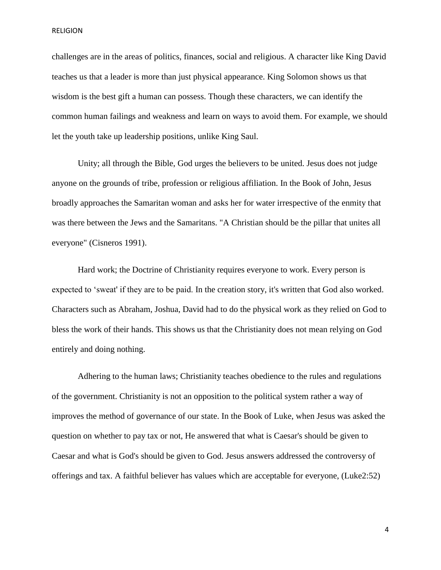RELIGION

challenges are in the areas of politics, finances, social and religious. A character like King David teaches us that a leader is more than just physical appearance. King Solomon shows us that wisdom is the best gift a human can possess. Though these characters, we can identify the common human failings and weakness and learn on ways to avoid them. For example, we should let the youth take up leadership positions, unlike King Saul.

Unity; all through the Bible, God urges the believers to be united. Jesus does not judge anyone on the grounds of tribe, profession or religious affiliation. In the Book of John, Jesus broadly approaches the Samaritan woman and asks her for water irrespective of the enmity that was there between the Jews and the Samaritans. "A Christian should be the pillar that unites all everyone" (Cisneros 1991).

Hard work; the Doctrine of Christianity requires everyone to work. Every person is expected to 'sweat' if they are to be paid. In the creation story, it's written that God also worked. Characters such as Abraham, Joshua, David had to do the physical work as they relied on God to bless the work of their hands. This shows us that the Christianity does not mean relying on God entirely and doing nothing.

Adhering to the human laws; Christianity teaches obedience to the rules and regulations of the government. Christianity is not an opposition to the political system rather a way of improves the method of governance of our state. In the Book of Luke, when Jesus was asked the question on whether to pay tax or not, He answered that what is Caesar's should be given to Caesar and what is God's should be given to God. Jesus answers addressed the controversy of offerings and tax. A faithful believer has values which are acceptable for everyone, (Luke2:52)

4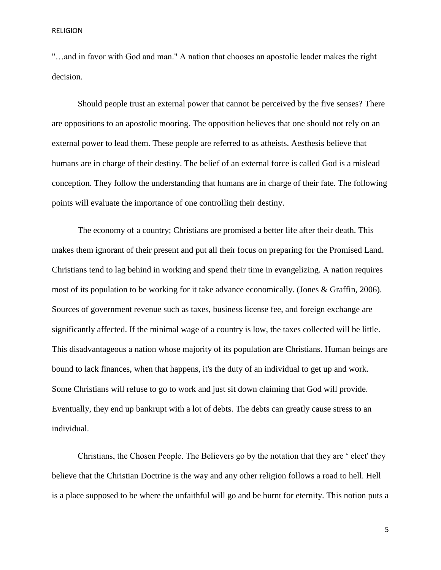"…and in favor with God and man." A nation that chooses an apostolic leader makes the right decision.

Should people trust an external power that cannot be perceived by the five senses? There are oppositions to an apostolic mooring. The opposition believes that one should not rely on an external power to lead them. These people are referred to as atheists. Aesthesis believe that humans are in charge of their destiny. The belief of an external force is called God is a mislead conception. They follow the understanding that humans are in charge of their fate. The following points will evaluate the importance of one controlling their destiny.

The economy of a country; Christians are promised a better life after their death. This makes them ignorant of their present and put all their focus on preparing for the Promised Land. Christians tend to lag behind in working and spend their time in evangelizing. A nation requires most of its population to be working for it take advance economically. (Jones & Graffin, 2006). Sources of government revenue such as taxes, business license fee, and foreign exchange are significantly affected. If the minimal wage of a country is low, the taxes collected will be little. This disadvantageous a nation whose majority of its population are Christians. Human beings are bound to lack finances, when that happens, it's the duty of an individual to get up and work. Some Christians will refuse to go to work and just sit down claiming that God will provide. Eventually, they end up bankrupt with a lot of debts. The debts can greatly cause stress to an individual.

Christians, the Chosen People. The Believers go by the notation that they are ' elect' they believe that the Christian Doctrine is the way and any other religion follows a road to hell. Hell is a place supposed to be where the unfaithful will go and be burnt for eternity. This notion puts a

5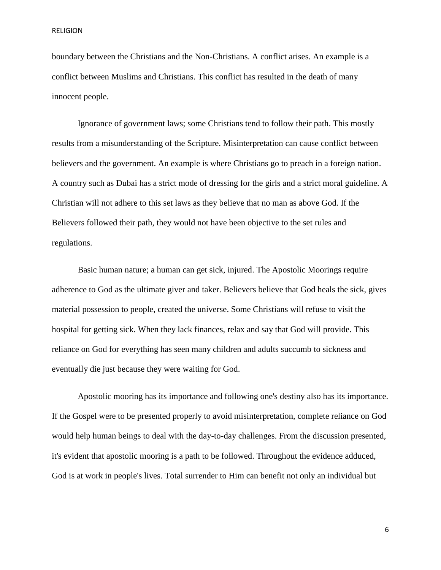boundary between the Christians and the Non-Christians. A conflict arises. An example is a conflict between Muslims and Christians. This conflict has resulted in the death of many innocent people.

Ignorance of government laws; some Christians tend to follow their path. This mostly results from a misunderstanding of the Scripture. Misinterpretation can cause conflict between believers and the government. An example is where Christians go to preach in a foreign nation. A country such as Dubai has a strict mode of dressing for the girls and a strict moral guideline. A Christian will not adhere to this set laws as they believe that no man as above God. If the Believers followed their path, they would not have been objective to the set rules and regulations.

Basic human nature; a human can get sick, injured. The Apostolic Moorings require adherence to God as the ultimate giver and taker. Believers believe that God heals the sick, gives material possession to people, created the universe. Some Christians will refuse to visit the hospital for getting sick. When they lack finances, relax and say that God will provide. This reliance on God for everything has seen many children and adults succumb to sickness and eventually die just because they were waiting for God.

Apostolic mooring has its importance and following one's destiny also has its importance. If the Gospel were to be presented properly to avoid misinterpretation, complete reliance on God would help human beings to deal with the day-to-day challenges. From the discussion presented, it's evident that apostolic mooring is a path to be followed. Throughout the evidence adduced, God is at work in people's lives. Total surrender to Him can benefit not only an individual but

6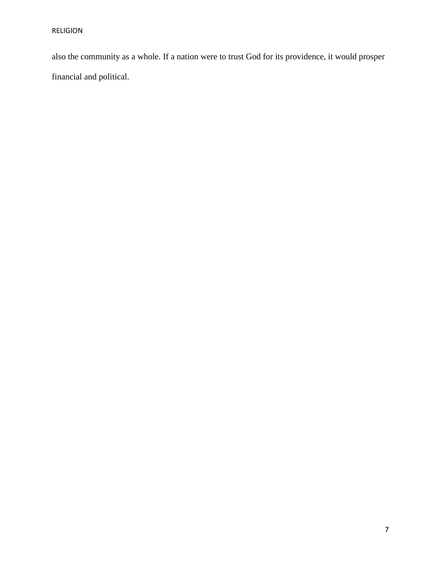also the community as a whole. If a nation were to trust God for its providence, it would prosper financial and political.